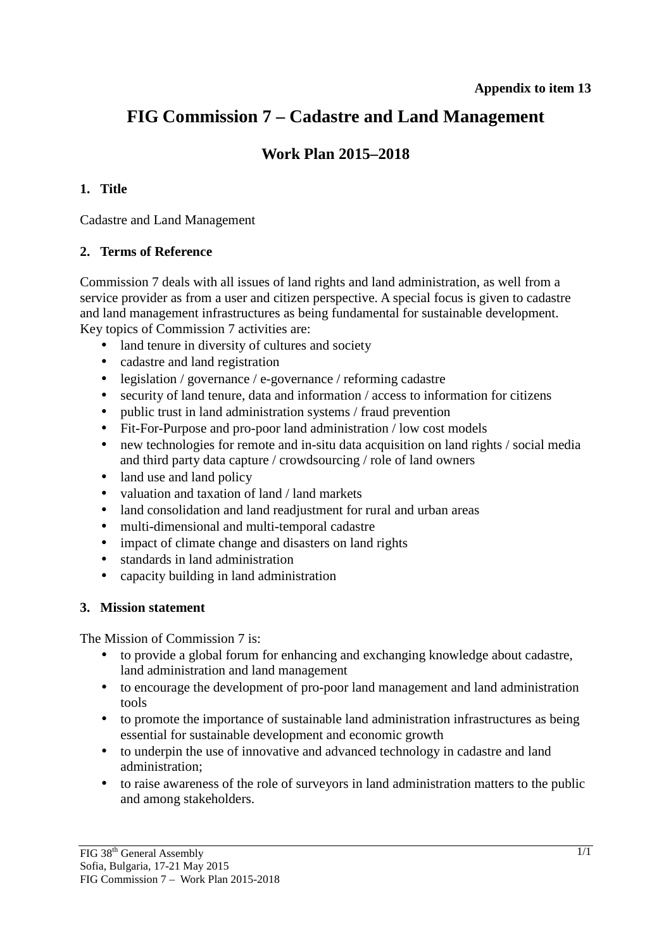# **FIG Commission 7 – Cadastre and Land Management**

# **Work Plan 2015–2018**

### **1. Title**

Cadastre and Land Management

#### **2. Terms of Reference**

Commission 7 deals with all issues of land rights and land administration, as well from a service provider as from a user and citizen perspective. A special focus is given to cadastre and land management infrastructures as being fundamental for sustainable development. Key topics of Commission 7 activities are:

- land tenure in diversity of cultures and society
- cadastre and land registration
- legislation / governance / e-governance / reforming cadastre
- security of land tenure, data and information / access to information for citizens
- public trust in land administration systems / fraud prevention
- Fit-For-Purpose and pro-poor land administration / low cost models
- new technologies for remote and in-situ data acquisition on land rights / social media and third party data capture / crowdsourcing / role of land owners
- land use and land policy
- valuation and taxation of land / land markets
- land consolidation and land readjustment for rural and urban areas
- multi-dimensional and multi-temporal cadastre
- impact of climate change and disasters on land rights
- standards in land administration
- capacity building in land administration

#### **3. Mission statement**

The Mission of Commission 7 is:

- to provide a global forum for enhancing and exchanging knowledge about cadastre, land administration and land management
- to encourage the development of pro-poor land management and land administration tools
- to promote the importance of sustainable land administration infrastructures as being essential for sustainable development and economic growth
- to underpin the use of innovative and advanced technology in cadastre and land administration;
- to raise awareness of the role of surveyors in land administration matters to the public and among stakeholders.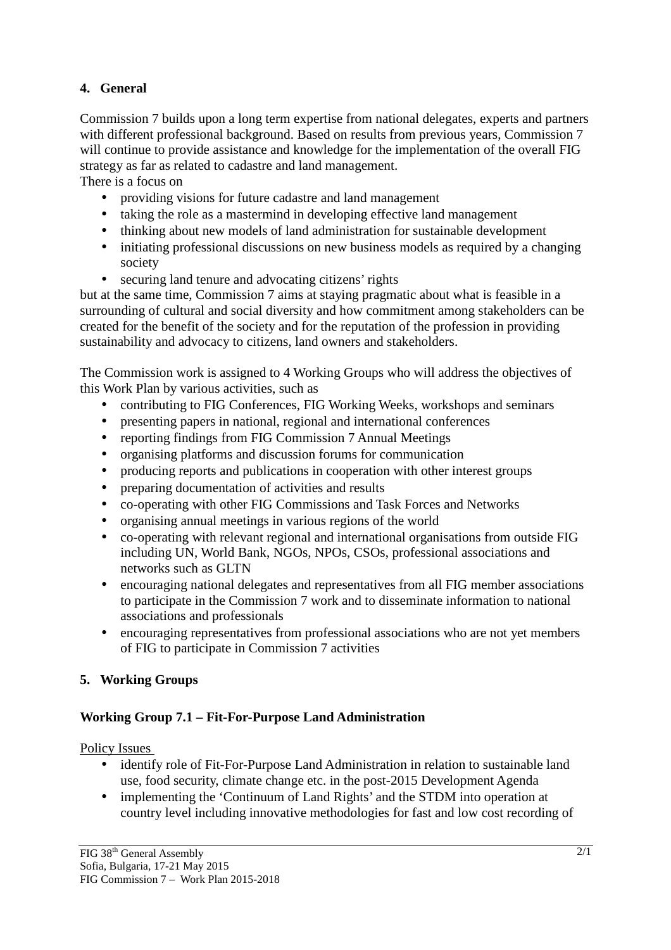## **4. General**

Commission 7 builds upon a long term expertise from national delegates, experts and partners with different professional background. Based on results from previous years, Commission 7 will continue to provide assistance and knowledge for the implementation of the overall FIG strategy as far as related to cadastre and land management.

There is a focus on

- providing visions for future cadastre and land management
- taking the role as a mastermind in developing effective land management
- thinking about new models of land administration for sustainable development
- initiating professional discussions on new business models as required by a changing society
- securing land tenure and advocating citizens' rights

but at the same time, Commission 7 aims at staying pragmatic about what is feasible in a surrounding of cultural and social diversity and how commitment among stakeholders can be created for the benefit of the society and for the reputation of the profession in providing sustainability and advocacy to citizens, land owners and stakeholders.

The Commission work is assigned to 4 Working Groups who will address the objectives of this Work Plan by various activities, such as

- contributing to FIG Conferences, FIG Working Weeks, workshops and seminars
- presenting papers in national, regional and international conferences
- reporting findings from FIG Commission 7 Annual Meetings
- organising platforms and discussion forums for communication
- producing reports and publications in cooperation with other interest groups
- preparing documentation of activities and results
- co-operating with other FIG Commissions and Task Forces and Networks
- organising annual meetings in various regions of the world
- co-operating with relevant regional and international organisations from outside FIG including UN, World Bank, NGOs, NPOs, CSOs, professional associations and networks such as GLTN
- encouraging national delegates and representatives from all FIG member associations to participate in the Commission 7 work and to disseminate information to national associations and professionals
- encouraging representatives from professional associations who are not yet members of FIG to participate in Commission 7 activities

# **5. Working Groups**

# **Working Group 7.1 – Fit-For-Purpose Land Administration**

Policy Issues

- identify role of Fit-For-Purpose Land Administration in relation to sustainable land use, food security, climate change etc. in the post-2015 Development Agenda
- implementing the 'Continuum of Land Rights' and the STDM into operation at country level including innovative methodologies for fast and low cost recording of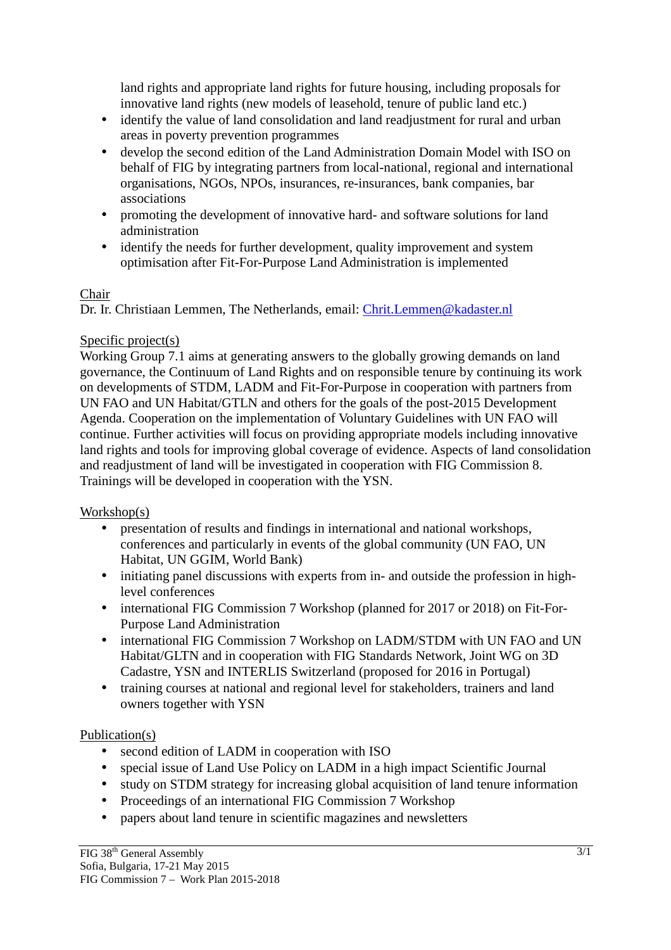land rights and appropriate land rights for future housing, including proposals for innovative land rights (new models of leasehold, tenure of public land etc.)

- identify the value of land consolidation and land readiustment for rural and urban areas in poverty prevention programmes
- develop the second edition of the Land Administration Domain Model with ISO on behalf of FIG by integrating partners from local-national, regional and international organisations, NGOs, NPOs, insurances, re-insurances, bank companies, bar associations
- promoting the development of innovative hard- and software solutions for land administration
- identify the needs for further development, quality improvement and system optimisation after Fit-For-Purpose Land Administration is implemented

#### Chair

Dr. Ir. Christiaan Lemmen, The Netherlands, email: Chrit.Lemmen@kadaster.nl

### Specific project(s)

Working Group 7.1 aims at generating answers to the globally growing demands on land governance, the Continuum of Land Rights and on responsible tenure by continuing its work on developments of STDM, LADM and Fit-For-Purpose in cooperation with partners from UN FAO and UN Habitat/GTLN and others for the goals of the post-2015 Development Agenda. Cooperation on the implementation of Voluntary Guidelines with UN FAO will continue. Further activities will focus on providing appropriate models including innovative land rights and tools for improving global coverage of evidence. Aspects of land consolidation and readjustment of land will be investigated in cooperation with FIG Commission 8. Trainings will be developed in cooperation with the YSN.

# Workshop(s)

- presentation of results and findings in international and national workshops, conferences and particularly in events of the global community (UN FAO, UN Habitat, UN GGIM, World Bank)
- initiating panel discussions with experts from in- and outside the profession in highlevel conferences
- international FIG Commission 7 Workshop (planned for 2017 or 2018) on Fit-For-Purpose Land Administration
- international FIG Commission 7 Workshop on LADM/STDM with UN FAO and UN Habitat/GLTN and in cooperation with FIG Standards Network, Joint WG on 3D Cadastre, YSN and INTERLIS Switzerland (proposed for 2016 in Portugal)
- training courses at national and regional level for stakeholders, trainers and land owners together with YSN

# Publication(s)

- second edition of LADM in cooperation with ISO
- special issue of Land Use Policy on LADM in a high impact Scientific Journal
- study on STDM strategy for increasing global acquisition of land tenure information
- Proceedings of an international FIG Commission 7 Workshop
- papers about land tenure in scientific magazines and newsletters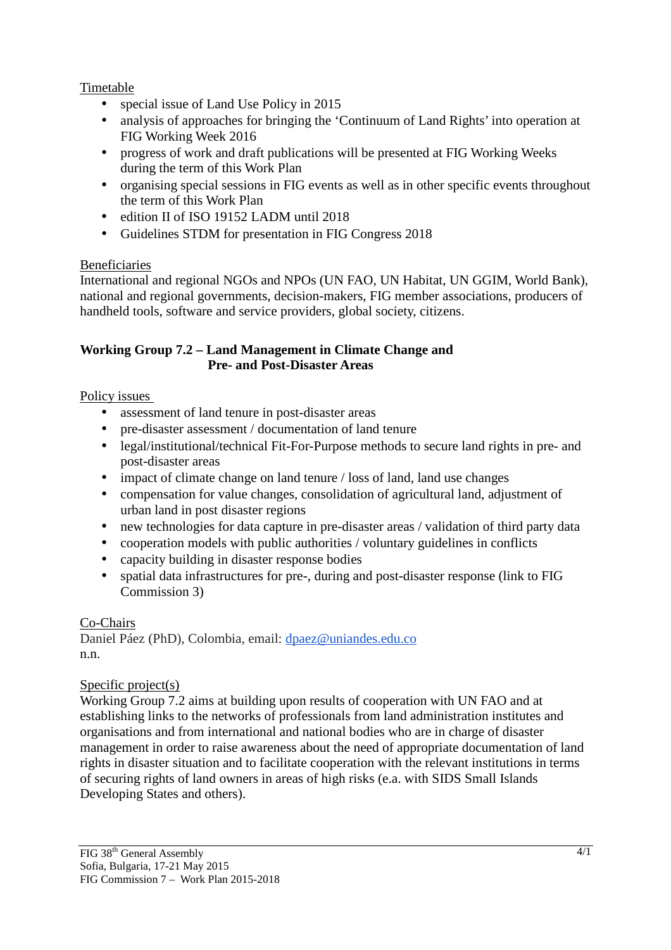### Timetable

- special issue of Land Use Policy in 2015
- analysis of approaches for bringing the 'Continuum of Land Rights' into operation at FIG Working Week 2016
- progress of work and draft publications will be presented at FIG Working Weeks during the term of this Work Plan
- organising special sessions in FIG events as well as in other specific events throughout the term of this Work Plan
- edition II of ISO 19152 LADM until 2018
- Guidelines STDM for presentation in FIG Congress 2018

### Beneficiaries

International and regional NGOs and NPOs (UN FAO, UN Habitat, UN GGIM, World Bank), national and regional governments, decision-makers, FIG member associations, producers of handheld tools, software and service providers, global society, citizens.

#### **Working Group 7.2 – Land Management in Climate Change and Pre- and Post-Disaster Areas**

#### Policy issues

- assessment of land tenure in post-disaster areas
- pre-disaster assessment / documentation of land tenure
- legal/institutional/technical Fit-For-Purpose methods to secure land rights in pre- and post-disaster areas
- impact of climate change on land tenure / loss of land, land use changes
- compensation for value changes, consolidation of agricultural land, adjustment of urban land in post disaster regions
- new technologies for data capture in pre-disaster areas / validation of third party data
- cooperation models with public authorities / voluntary guidelines in conflicts
- capacity building in disaster response bodies
- spatial data infrastructures for pre-, during and post-disaster response (link to FIG Commission 3)

#### Co-Chairs

Daniel Páez (PhD), Colombia, email: dpaez@uniandes.edu.co n.n.

#### Specific project(s)

Working Group 7.2 aims at building upon results of cooperation with UN FAO and at establishing links to the networks of professionals from land administration institutes and organisations and from international and national bodies who are in charge of disaster management in order to raise awareness about the need of appropriate documentation of land rights in disaster situation and to facilitate cooperation with the relevant institutions in terms of securing rights of land owners in areas of high risks (e.a. with SIDS Small Islands Developing States and others).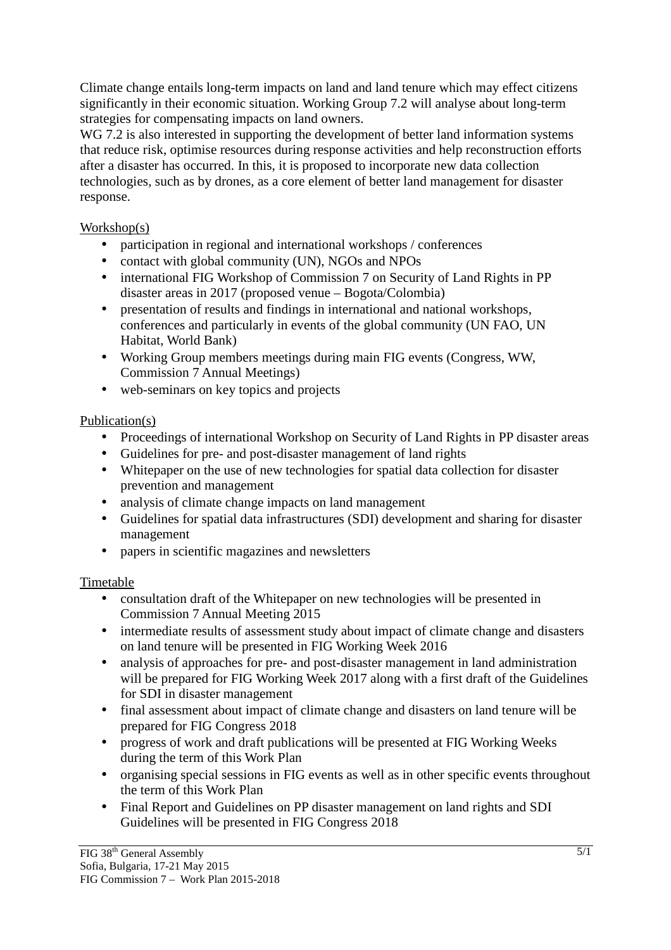Climate change entails long-term impacts on land and land tenure which may effect citizens significantly in their economic situation. Working Group 7.2 will analyse about long-term strategies for compensating impacts on land owners.

WG 7.2 is also interested in supporting the development of better land information systems that reduce risk, optimise resources during response activities and help reconstruction efforts after a disaster has occurred. In this, it is proposed to incorporate new data collection technologies, such as by drones, as a core element of better land management for disaster response.

Workshop(s)

- participation in regional and international workshops / conferences
- contact with global community (UN), NGOs and NPOs
- international FIG Workshop of Commission 7 on Security of Land Rights in PP disaster areas in 2017 (proposed venue – Bogota/Colombia)
- presentation of results and findings in international and national workshops, conferences and particularly in events of the global community (UN FAO, UN Habitat, World Bank)
- Working Group members meetings during main FIG events (Congress, WW, Commission 7 Annual Meetings)
- web-seminars on key topics and projects

#### Publication(s)

- Proceedings of international Workshop on Security of Land Rights in PP disaster areas
- Guidelines for pre- and post-disaster management of land rights
- Whitepaper on the use of new technologies for spatial data collection for disaster prevention and management
- analysis of climate change impacts on land management
- Guidelines for spatial data infrastructures (SDI) development and sharing for disaster management
- papers in scientific magazines and newsletters

# Timetable

- consultation draft of the Whitepaper on new technologies will be presented in Commission 7 Annual Meeting 2015
- intermediate results of assessment study about impact of climate change and disasters on land tenure will be presented in FIG Working Week 2016
- analysis of approaches for pre- and post-disaster management in land administration will be prepared for FIG Working Week 2017 along with a first draft of the Guidelines for SDI in disaster management
- final assessment about impact of climate change and disasters on land tenure will be prepared for FIG Congress 2018
- progress of work and draft publications will be presented at FIG Working Weeks during the term of this Work Plan
- organising special sessions in FIG events as well as in other specific events throughout the term of this Work Plan
- Final Report and Guidelines on PP disaster management on land rights and SDI Guidelines will be presented in FIG Congress 2018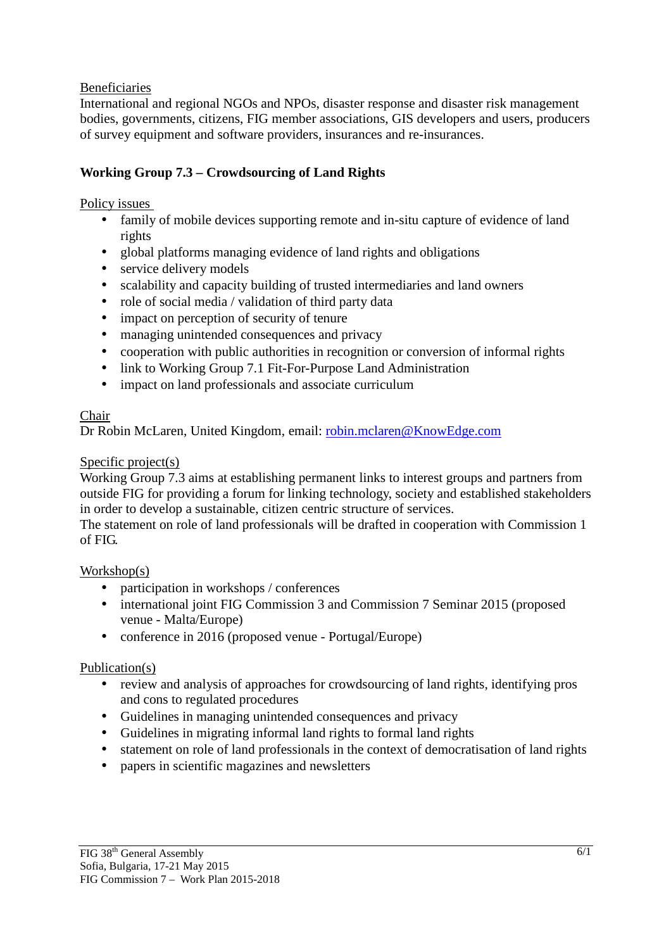#### Beneficiaries

International and regional NGOs and NPOs, disaster response and disaster risk management bodies, governments, citizens, FIG member associations, GIS developers and users, producers of survey equipment and software providers, insurances and re-insurances.

### **Working Group 7.3 – Crowdsourcing of Land Rights**

#### Policy issues

- family of mobile devices supporting remote and in-situ capture of evidence of land rights
- global platforms managing evidence of land rights and obligations
- service delivery models
- scalability and capacity building of trusted intermediaries and land owners
- role of social media / validation of third party data
- impact on perception of security of tenure
- managing unintended consequences and privacy
- cooperation with public authorities in recognition or conversion of informal rights
- link to Working Group 7.1 Fit-For-Purpose Land Administration
- impact on land professionals and associate curriculum

#### Chair

Dr Robin McLaren, United Kingdom, email: robin.mclaren@KnowEdge.com

#### Specific project(s)

Working Group 7.3 aims at establishing permanent links to interest groups and partners from outside FIG for providing a forum for linking technology, society and established stakeholders in order to develop a sustainable, citizen centric structure of services.

The statement on role of land professionals will be drafted in cooperation with Commission 1 of FIG.

#### Workshop(s)

- participation in workshops / conferences
- international joint FIG Commission 3 and Commission 7 Seminar 2015 (proposed venue - Malta/Europe)
- conference in 2016 (proposed venue Portugal/Europe)

#### Publication(s)

- review and analysis of approaches for crowdsourcing of land rights, identifying pros and cons to regulated procedures
- Guidelines in managing unintended consequences and privacy
- Guidelines in migrating informal land rights to formal land rights
- statement on role of land professionals in the context of democratisation of land rights
- papers in scientific magazines and newsletters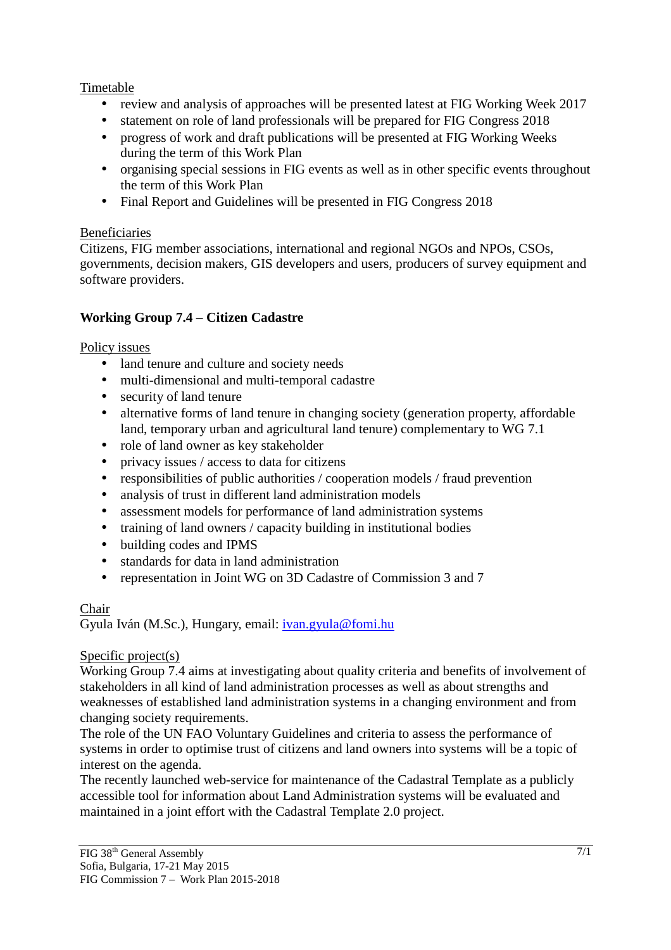### Timetable

- review and analysis of approaches will be presented latest at FIG Working Week 2017
- statement on role of land professionals will be prepared for FIG Congress 2018
- progress of work and draft publications will be presented at FIG Working Weeks during the term of this Work Plan
- organising special sessions in FIG events as well as in other specific events throughout the term of this Work Plan
- Final Report and Guidelines will be presented in FIG Congress 2018

#### Beneficiaries

Citizens, FIG member associations, international and regional NGOs and NPOs, CSOs, governments, decision makers, GIS developers and users, producers of survey equipment and software providers.

# **Working Group 7.4 – Citizen Cadastre**

### Policy issues

- land tenure and culture and society needs
- multi-dimensional and multi-temporal cadastre
- security of land tenure
- alternative forms of land tenure in changing society (generation property, affordable land, temporary urban and agricultural land tenure) complementary to WG 7.1
- role of land owner as key stakeholder
- privacy issues / access to data for citizens
- responsibilities of public authorities / cooperation models / fraud prevention
- analysis of trust in different land administration models
- assessment models for performance of land administration systems
- training of land owners / capacity building in institutional bodies
- building codes and IPMS
- standards for data in land administration
- representation in Joint WG on 3D Cadastre of Commission 3 and 7

# Chair

Gyula Iván (M.Sc.), Hungary, email: ivan.gyula@fomi.hu

# Specific project(s)

Working Group 7.4 aims at investigating about quality criteria and benefits of involvement of stakeholders in all kind of land administration processes as well as about strengths and weaknesses of established land administration systems in a changing environment and from changing society requirements.

The role of the UN FAO Voluntary Guidelines and criteria to assess the performance of systems in order to optimise trust of citizens and land owners into systems will be a topic of interest on the agenda.

The recently launched web-service for maintenance of the Cadastral Template as a publicly accessible tool for information about Land Administration systems will be evaluated and maintained in a joint effort with the Cadastral Template 2.0 project.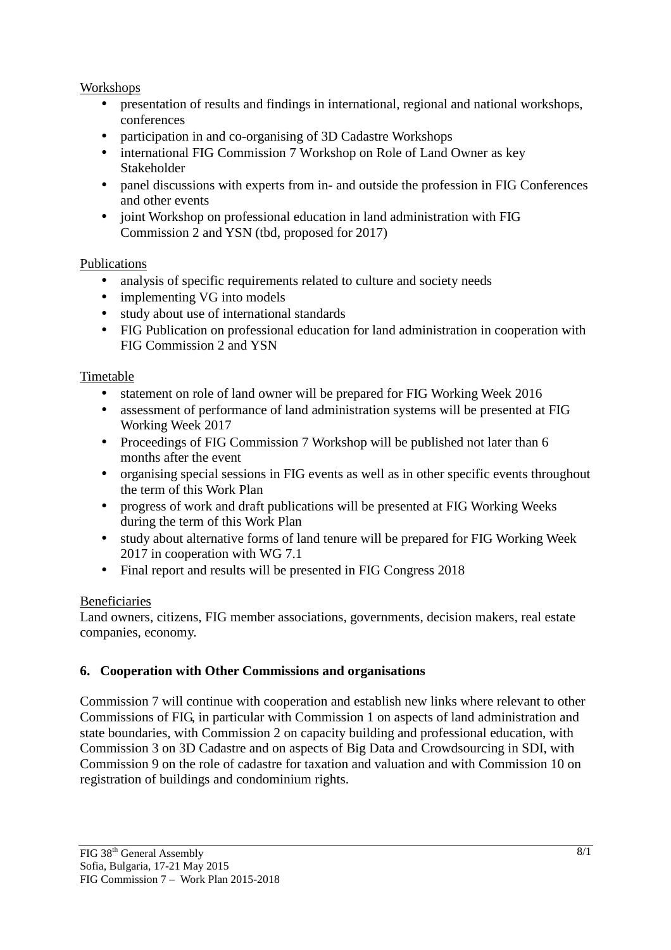#### Workshops

- presentation of results and findings in international, regional and national workshops, conferences
- participation in and co-organising of 3D Cadastre Workshops
- international FIG Commission 7 Workshop on Role of Land Owner as key Stakeholder
- panel discussions with experts from in- and outside the profession in FIG Conferences and other events
- joint Workshop on professional education in land administration with FIG Commission 2 and YSN (tbd, proposed for 2017)

#### Publications

- analysis of specific requirements related to culture and society needs
- implementing VG into models
- study about use of international standards
- FIG Publication on professional education for land administration in cooperation with FIG Commission 2 and YSN

#### Timetable

- statement on role of land owner will be prepared for FIG Working Week 2016
- assessment of performance of land administration systems will be presented at FIG Working Week 2017
- Proceedings of FIG Commission 7 Workshop will be published not later than 6 months after the event
- organising special sessions in FIG events as well as in other specific events throughout the term of this Work Plan
- progress of work and draft publications will be presented at FIG Working Weeks during the term of this Work Plan
- study about alternative forms of land tenure will be prepared for FIG Working Week 2017 in cooperation with WG 7.1
- Final report and results will be presented in FIG Congress 2018

#### Beneficiaries

Land owners, citizens, FIG member associations, governments, decision makers, real estate companies, economy.

#### **6. Cooperation with Other Commissions and organisations**

Commission 7 will continue with cooperation and establish new links where relevant to other Commissions of FIG, in particular with Commission 1 on aspects of land administration and state boundaries, with Commission 2 on capacity building and professional education, with Commission 3 on 3D Cadastre and on aspects of Big Data and Crowdsourcing in SDI, with Commission 9 on the role of cadastre for taxation and valuation and with Commission 10 on registration of buildings and condominium rights.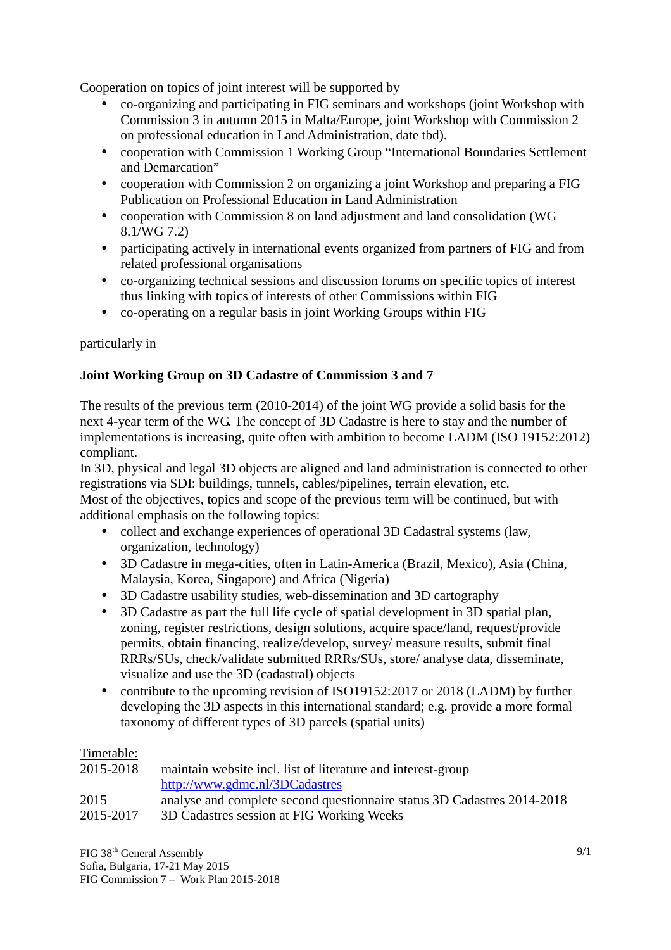Cooperation on topics of joint interest will be supported by

- co-organizing and participating in FIG seminars and workshops (joint Workshop with Commission 3 in autumn 2015 in Malta/Europe, joint Workshop with Commission 2 on professional education in Land Administration, date tbd).
- cooperation with Commission 1 Working Group "International Boundaries Settlement and Demarcation"
- cooperation with Commission 2 on organizing a joint Workshop and preparing a FIG Publication on Professional Education in Land Administration
- cooperation with Commission 8 on land adjustment and land consolidation (WG) 8.1/WG 7.2)
- participating actively in international events organized from partners of FIG and from related professional organisations
- co-organizing technical sessions and discussion forums on specific topics of interest thus linking with topics of interests of other Commissions within FIG
- co-operating on a regular basis in joint Working Groups within FIG

### particularly in

### **Joint Working Group on 3D Cadastre of Commission 3 and 7**

The results of the previous term (2010-2014) of the joint WG provide a solid basis for the next 4-year term of the WG. The concept of 3D Cadastre is here to stay and the number of implementations is increasing, quite often with ambition to become LADM (ISO 19152:2012) compliant.

In 3D, physical and legal 3D objects are aligned and land administration is connected to other registrations via SDI: buildings, tunnels, cables/pipelines, terrain elevation, etc.

Most of the objectives, topics and scope of the previous term will be continued, but with additional emphasis on the following topics:

- collect and exchange experiences of operational 3D Cadastral systems (law, organization, technology)
- 3D Cadastre in mega-cities, often in Latin-America (Brazil, Mexico), Asia (China, Malaysia, Korea, Singapore) and Africa (Nigeria)
- 3D Cadastre usability studies, web-dissemination and 3D cartography
- 3D Cadastre as part the full life cycle of spatial development in 3D spatial plan, zoning, register restrictions, design solutions, acquire space/land, request/provide permits, obtain financing, realize/develop, survey/ measure results, submit final RRRs/SUs, check/validate submitted RRRs/SUs, store/ analyse data, disseminate, visualize and use the 3D (cadastral) objects
- contribute to the upcoming revision of ISO19152:2017 or 2018 (LADM) by further developing the 3D aspects in this international standard; e.g. provide a more formal taxonomy of different types of 3D parcels (spatial units)

#### Timetable:

| 2015-2018 | maintain website incl. list of literature and interest-group            |
|-----------|-------------------------------------------------------------------------|
|           | http://www.gdmc.nl/3DCadastres                                          |
| 2015      | analyse and complete second questionnaire status 3D Cadastres 2014-2018 |
| 2015-2017 | 3D Cadastres session at FIG Working Weeks                               |
|           |                                                                         |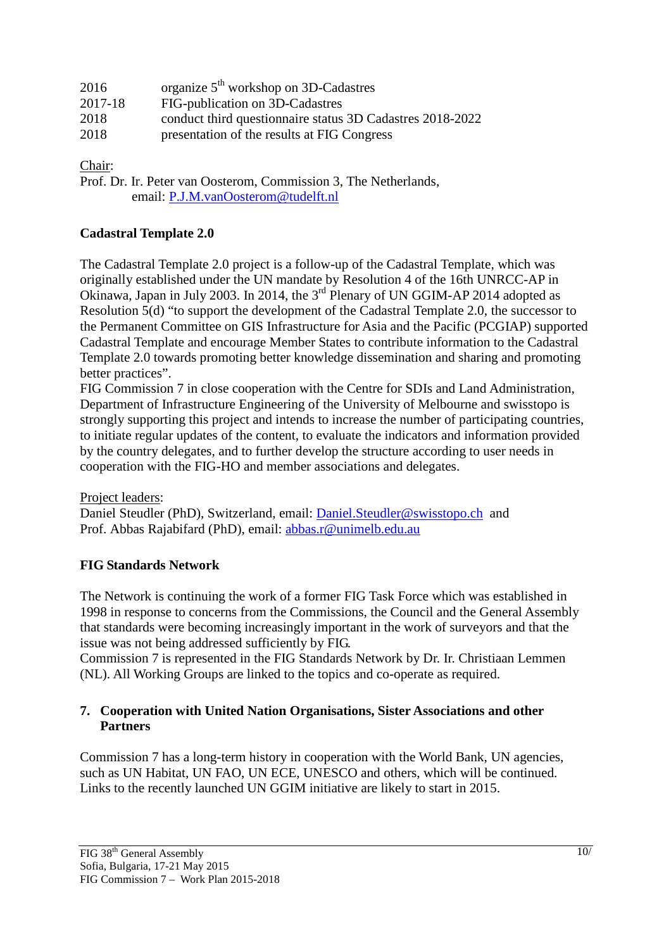| 2016    | organize $5th$ workshop on 3D-Cadastres                   |
|---------|-----------------------------------------------------------|
| 2017-18 | FIG-publication on 3D-Cadastres                           |
| 2018    | conduct third questionnaire status 3D Cadastres 2018-2022 |
| 2018    | presentation of the results at FIG Congress               |

Chair:

Prof. Dr. Ir. Peter van Oosterom, Commission 3, The Netherlands, email: P.J.M.vanOosterom@tudelft.nl

#### **Cadastral Template 2.0**

The Cadastral Template 2.0 project is a follow-up of the Cadastral Template, which was originally established under the UN mandate by Resolution 4 of the 16th UNRCC-AP in Okinawa, Japan in July 2003. In 2014, the 3rd Plenary of UN GGIM-AP 2014 adopted as Resolution 5(d) "to support the development of the Cadastral Template 2.0, the successor to the Permanent Committee on GIS Infrastructure for Asia and the Pacific (PCGIAP) supported Cadastral Template and encourage Member States to contribute information to the Cadastral Template 2.0 towards promoting better knowledge dissemination and sharing and promoting better practices".

FIG Commission 7 in close cooperation with the Centre for SDIs and Land Administration, Department of Infrastructure Engineering of the University of Melbourne and swisstopo is strongly supporting this project and intends to increase the number of participating countries, to initiate regular updates of the content, to evaluate the indicators and information provided by the country delegates, and to further develop the structure according to user needs in cooperation with the FIG-HO and member associations and delegates.

Project leaders:

Daniel Steudler (PhD), Switzerland, email: Daniel.Steudler@swisstopo.ch and Prof. Abbas Rajabifard (PhD), email: abbas.r@unimelb.edu.au

#### **FIG Standards Network**

The Network is continuing the work of a former FIG Task Force which was established in 1998 in response to concerns from the Commissions, the Council and the General Assembly that standards were becoming increasingly important in the work of surveyors and that the issue was not being addressed sufficiently by FIG.

Commission 7 is represented in the FIG Standards Network by Dr. Ir. Christiaan Lemmen (NL). All Working Groups are linked to the topics and co-operate as required.

#### **7. Cooperation with United Nation Organisations, Sister Associations and other Partners**

Commission 7 has a long-term history in cooperation with the World Bank, UN agencies, such as UN Habitat, UN FAO, UN ECE, UNESCO and others, which will be continued. Links to the recently launched UN GGIM initiative are likely to start in 2015.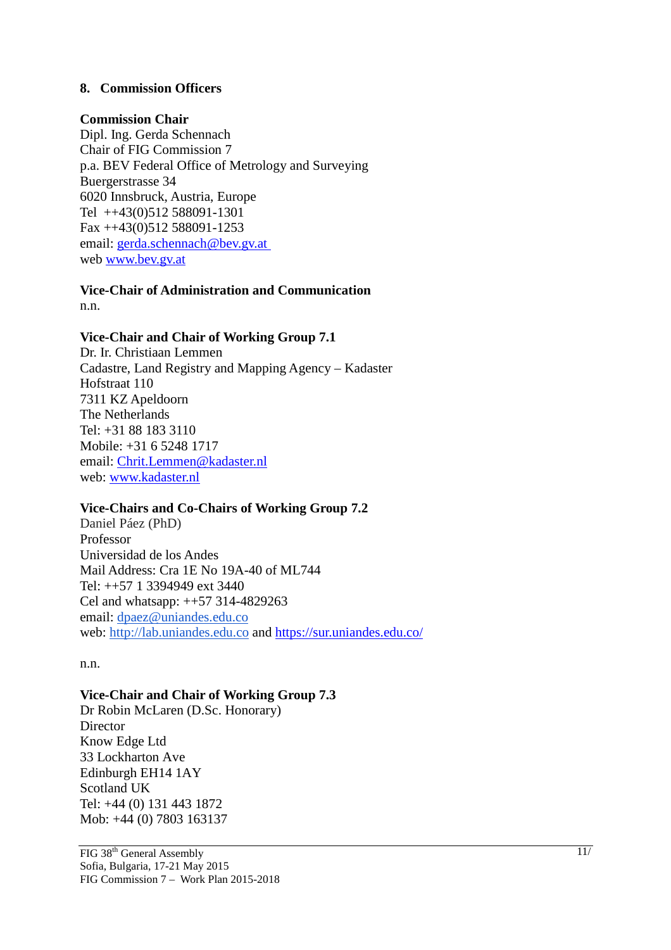#### **8. Commission Officers**

#### **Commission Chair**

Dipl. Ing. Gerda Schennach Chair of FIG Commission 7 p.a. BEV Federal Office of Metrology and Surveying Buergerstrasse 34 6020 Innsbruck, Austria, Europe Tel ++43(0)512 588091-1301 Fax ++43(0)512 588091-1253 email: gerda.schennach@bev.gv.at web www.bev.gv.at

**Vice-Chair of Administration and Communication**  n.n.

#### **Vice-Chair and Chair of Working Group 7.1**

Dr. Ir. Christiaan Lemmen Cadastre, Land Registry and Mapping Agency – Kadaster Hofstraat 110 7311 KZ Apeldoorn The Netherlands Tel: +31 88 183 3110 Mobile: +31 6 5248 1717 email: Chrit.Lemmen@kadaster.nl web: www.kadaster.nl

#### **Vice-Chairs and Co-Chairs of Working Group 7.2**

Daniel Páez (PhD) Professor Universidad de los Andes Mail Address: Cra 1E No 19A-40 of ML744 Tel: ++57 1 3394949 ext 3440 Cel and whatsapp: ++57 314-4829263 email: dpaez@uniandes.edu.co web: http://lab.uniandes.edu.co and https://sur.uniandes.edu.co/

n.n.

#### **Vice-Chair and Chair of Working Group 7.3**

Dr Robin McLaren (D.Sc. Honorary) **Director** Know Edge Ltd 33 Lockharton Ave Edinburgh EH14 1AY Scotland UK Tel: +44 (0) 131 443 1872 Mob: +44 (0) 7803 163137